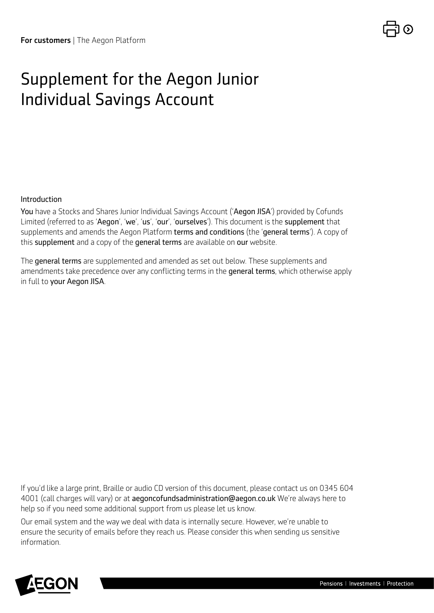# Supplement for the Aegon Junior Individual Savings Account

# Introduction

You have a Stocks and Shares Junior Individual Savings Account ('Aegon JISA') provided by Cofunds Limited (referred to as 'Aegon', 'we', 'us', 'our', 'ourselves'). This document is the supplement that supplements and amends the Aegon Platform terms and conditions (the 'general terms'). A copy of this supplement and a copy of the general terms are available on our website.

The general terms are supplemented and amended as set out below. These supplements and amendments take precedence over any conflicting terms in the **general terms**, which otherwise apply in full to your Aegon JISA.

If you'd like a large print, Braille or audio CD version of this document, please contact us on 0345 604 4001 (call charges will vary) or at [aegoncofundsadministration@aegon.co.uk](mailto:aegoncofundsadministration%40aegon.co.uk?subject=)We're always here to help so if you need some additional support from us please let us know.

Our email system and the way we deal with data is internally secure. However, we're unable to ensure the security of emails before they reach us. Please consider this when sending us sensitive information.

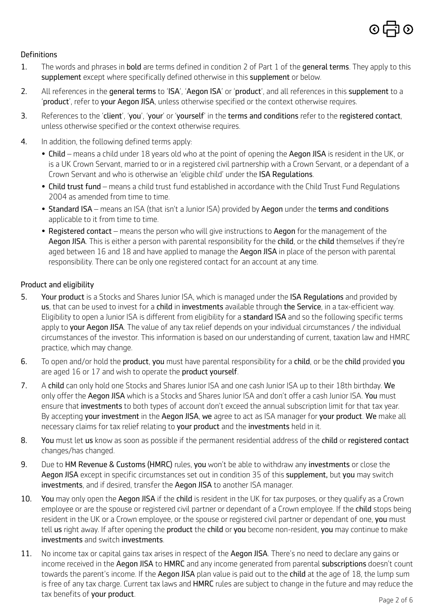

# **Definitions**

- 1. The words and phrases in bold are terms defined in condition 2 of Part 1 of the general terms. They apply to this supplement except where specifically defined otherwise in this supplement or below.
- 2. All references in the general terms to 'ISA', 'Aegon ISA' or 'product', and all references in this supplement to a 'product', refer to your Aegon JISA, unless otherwise specified or the context otherwise requires.
- 3. References to the 'client', 'you', 'your' or 'yourself' in the terms and conditions refer to the registered contact, unless otherwise specified or the context otherwise requires.
- 4. In addition, the following defined terms apply:
	- Child means a child under 18 years old who at the point of opening the Aegon JISA is resident in the UK, or is a UK Crown Servant, married to or in a registered civil partnership with a Crown Servant, or a dependant of a Crown Servant and who is otherwise an 'eligible child' under the ISA Regulations.
	- Child trust fund means a child trust fund established in accordance with the Child Trust Fund Regulations 2004 as amended from time to time.
	- Standard ISA means an ISA (that isn't a Junior ISA) provided by Aegon under the terms and conditions applicable to it from time to time.
	- Registered contact means the person who will give instructions to Aegon for the management of the Aegon JISA. This is either a person with parental responsibility for the child, or the child themselves if they're aged between 16 and 18 and have applied to manage the Aegon JISA in place of the person with parental responsibility. There can be only one registered contact for an account at any time.

# Product and eligibility

- 5. Your product is a Stocks and Shares Junior ISA, which is managed under the ISA Regulations and provided by us, that can be used to invest for a child in investments available through the Service, in a tax-efficient way. Eligibility to open a Junior ISA is different from eligibility for a standard ISA and so the following specific terms apply to your Aegon JISA. The value of any tax relief depends on your individual circumstances / the individual circumstances of the investor. This information is based on our understanding of current, taxation law and HMRC practice, which may change.
- 6. To open and/or hold the product, you must have parental responsibility for a child, or be the child provided you are aged 16 or 17 and wish to operate the **product vourself**.
- 7. A child can only hold one Stocks and Shares Junior ISA and one cash Junior ISA up to their 18th birthday. We only offer the Aegon JISA which is a Stocks and Shares Junior ISA and don't offer a cash Junior ISA. You must ensure that investments to both types of account don't exceed the annual subscription limit for that tax year. By accepting your investment in the Aegon JISA, we agree to act as ISA manager for your product. We make all necessary claims for tax relief relating to your product and the investments held in it.
- 8. You must let us know as soon as possible if the permanent residential address of the child or registered contact changes/has changed.
- 9. Due to HM Revenue & Customs (HMRC) rules, you won't be able to withdraw any investments or close the Aegon JISA except in specific circumstances set out in condition [35](#page-5-0) of this supplement, but you may switch investments, and if desired, transfer the Aegon JISA to another ISA manager.
- 10. You may only open the Aegon JISA if the child is resident in the UK for tax purposes, or they qualify as a Crown employee or are the spouse or registered civil partner or dependant of a Crown employee. If the child stops being resident in the UK or a Crown employee, or the spouse or registered civil partner or dependant of one, you must tell us right away. If after opening the product the child or you become non-resident, you may continue to make investments and switch investments.
- 11. No income tax or capital gains tax arises in respect of the Aegon JISA. There's no need to declare any gains or income received in the Aegon JISA to HMRC and any income generated from parental subscriptions doesn't count towards the parent's income. If the Aegon JISA plan value is paid out to the child at the age of 18, the lump sum is free of any tax charge. Current tax laws and HMRC rules are subject to change in the future and may reduce the tax benefits of your product.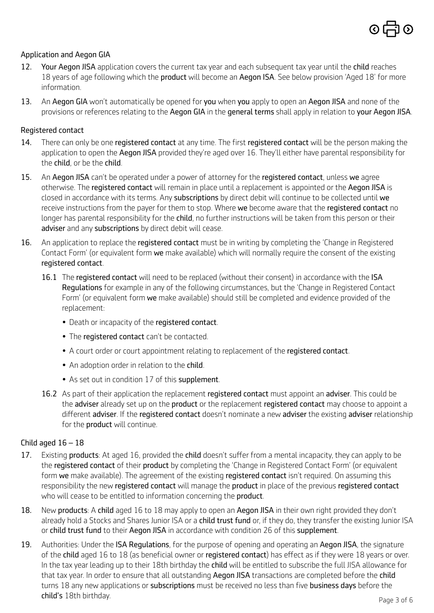

# Application and Aegon GIA

- 12. Your Aegon JISA application covers the current tax year and each subsequent tax year until the child reaches 18 years of age following which the product will become an Aegon ISA. See below provision 'Aged 18' for more information.
- 13. An Aegon GIA won't automatically be opened for you when you apply to open an Aegon JISA and none of the provisions or references relating to the Aegon GIA in the general terms shall apply in relation to your Aegon JISA.

#### Registered contact

- 14. There can only be one registered contact at any time. The first registered contact will be the person making the application to open the Aegon JISA provided they're aged over 16. They'll either have parental responsibility for the child, or be the child.
- 15. An Aegon JISA can't be operated under a power of attorney for the registered contact, unless we agree otherwise. The registered contact will remain in place until a replacement is appointed or the Aegon JISA is closed in accordance with its terms. Any subscriptions by direct debit will continue to be collected until we receive instructions from the payer for them to stop. Where we become aware that the registered contact no longer has parental responsibility for the child, no further instructions will be taken from this person or their adviser and any subscriptions by direct debit will cease.
- 16. An application to replace the registered contact must be in writing by completing the 'Change in Registered Contact Form' (or equivalent form we make available) which will normally require the consent of the existing registered contact.
	- 16.1 The registered contact will need to be replaced (without their consent) in accordance with the ISA Regulations for example in any of the following circumstances, but the 'Change in Registered Contact Form' (or equivalent form we make available) should still be completed and evidence provided of the replacement:
		- Death or incapacity of the registered contact.
		- The registered contact can't be contacted.
		- A court order or court appointment relating to replacement of the registered contact.
		- An adoption order in relation to the child.
		- As set out in condition [17](#page-2-0) of this supplement.
	- 16.2 As part of their application the replacement registered contact must appoint an adviser. This could be the adviser already set up on the product or the replacement registered contact may choose to appoint a different adviser. If the registered contact doesn't nominate a new adviser the existing adviser relationship for the product will continue.

### Child aged  $16 - 18$

- <span id="page-2-0"></span>17. Existing products: At aged 16, provided the child doesn't suffer from a mental incapacity, they can apply to be the registered contact of their product by completing the 'Change in Registered Contact Form' (or equivalent form we make available). The agreement of the existing registered contact isn't required. On assuming this responsibility the new registered contact will manage the product in place of the previous registered contact who will cease to be entitled to information concerning the product.
- 18. New products: A child aged 16 to 18 may apply to open an Aegon JISA in their own right provided they don't already hold a Stocks and Shares Junior ISA or a child trust fund or, if they do, they transfer the existing Junior ISA or child trust fund to their Aegon JISA in accordance with condition [26](#page-3-0) of this supplement.
- 19. Authorities: Under the ISA Requlations, for the purpose of opening and operating an Aegon JISA, the signature of the child aged 16 to 18 (as beneficial owner or registered contact) has effect as if they were 18 years or over. In the tax year leading up to their 18th birthday the child will be entitled to subscribe the full JISA allowance for that tax year. In order to ensure that all outstanding Aegon JISA transactions are completed before the child turns 18 any new applications or subscriptions must be received no less than five business days before the child's 18th birthday.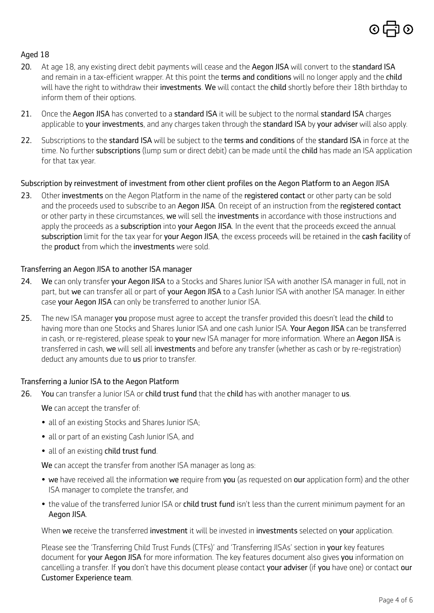

# Aged 18

- 20. At age 18, any existing direct debit payments will cease and the Aegon JISA will convert to the standard ISA and remain in a tax-efficient wrapper. At this point the terms and conditions will no longer apply and the child will have the right to withdraw their investments. We will contact the child shortly before their 18th birthday to inform them of their options.
- 21. Once the Aegon JISA has converted to a standard ISA it will be subject to the normal standard ISA charges applicable to your investments, and any charges taken through the standard ISA by your adviser will also apply.
- 22. Subscriptions to the standard ISA will be subject to the terms and conditions of the standard ISA in force at the time. No further subscriptions (lump sum or direct debit) can be made until the child has made an ISA application for that tax year.

# Subscription by reinvestment of investment from other client profiles on the Aegon Platform to an Aegon JISA

23. Other investments on the Aegon Platform in the name of the registered contact or other party can be sold and the proceeds used to subscribe to an Aegon JISA. On receipt of an instruction from the registered contact or other party in these circumstances, we will sell the investments in accordance with those instructions and apply the proceeds as a subscription into your Aegon JISA. In the event that the proceeds exceed the annual subscription limit for the tax year for your Aegon JISA, the excess proceeds will be retained in the cash facility of the product from which the investments were sold.

# Transferring an Aegon JISA to another ISA manager

- 24. We can only transfer your Aegon JISA to a Stocks and Shares Junior ISA with another ISA manager in full, not in part, but we can transfer all or part of your Aegon JISA to a Cash Junior ISA with another ISA manager. In either case your Aegon JISA can only be transferred to another Junior ISA.
- 25. The new ISA manager you propose must agree to accept the transfer provided this doesn't lead the child to having more than one Stocks and Shares Junior ISA and one cash Junior ISA. Your Aegon JISA can be transferred in cash, or re-registered, please speak to your new ISA manager for more information. Where an Aegon JISA is transferred in cash, we will sell all investments and before any transfer (whether as cash or by re-registration) deduct any amounts due to us prior to transfer.

# Transferring a Junior ISA to the Aegon Platform

26. You can transfer a Junior ISA or child trust fund that the child has with another manager to us.

<span id="page-3-0"></span>We can accept the transfer of:

- all of an existing Stocks and Shares Junior ISA;
- all or part of an existing Cash Junior ISA, and
- all of an existing child trust fund.

We can accept the transfer from another ISA manager as long as:

- we have received all the information we require from you (as requested on our application form) and the other ISA manager to complete the transfer, and
- the value of the transferred Junior ISA or child trust fund isn't less than the current minimum payment for an Aegon JISA.

When we receive the transferred investment it will be invested in investments selected on your application.

Please see the 'Transferring Child Trust Funds (CTFs)' and 'Transferring JISAs' section in your key features document for your Aegon JISA for more information. The key features document also gives you information on cancelling a transfer. If you don't have this document please contact your adviser (if you have one) or contact our Customer Experience team.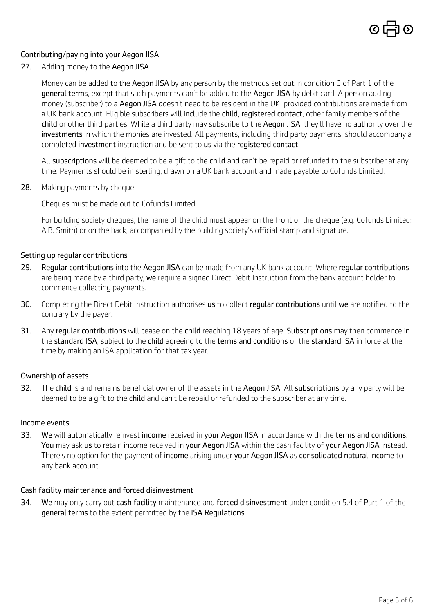# Contributing/paying into your Aegon JISA

27. Adding money to the Aegon JISA

Money can be added to the Aegon JISA by any person by the methods set out in condition 6 of Part 1 of the general terms, except that such payments can't be added to the Aegon JISA by debit card. A person adding money (subscriber) to a Aegon JISA doesn't need to be resident in the UK, provided contributions are made from a UK bank account. Eligible subscribers will include the child, registered contact, other family members of the child or other third parties. While a third party may subscribe to the Aegon JISA, they'll have no authority over the investments in which the monies are invested. All payments, including third party payments, should accompany a completed investment instruction and be sent to us via the registered contact.

All subscriptions will be deemed to be a gift to the child and can't be repaid or refunded to the subscriber at any time. Payments should be in sterling, drawn on a UK bank account and made payable to Cofunds Limited.

28. Making payments by cheque

Cheques must be made out to Cofunds Limited.

For building society cheques, the name of the child must appear on the front of the cheque (e.g. Cofunds Limited: A.B. Smith) or on the back, accompanied by the building society's official stamp and signature.

### Setting up regular contributions

- 29. Regular contributions into the Aegon JISA can be made from any UK bank account. Where regular contributions are being made by a third party, we require a signed Direct Debit Instruction from the bank account holder to commence collecting payments.
- 30. Completing the Direct Debit Instruction authorises us to collect regular contributions until we are notified to the contrary by the payer.
- 31. Any regular contributions will cease on the child reaching 18 years of age. Subscriptions may then commence in the standard ISA, subject to the child agreeing to the terms and conditions of the standard ISA in force at the time by making an ISA application for that tax year.

### Ownership of assets

32. The child is and remains beneficial owner of the assets in the Aegon JISA. All subscriptions by any party will be deemed to be a gift to the child and can't be repaid or refunded to the subscriber at any time.

#### Income events

33. We will automatically reinvest income received in your Aegon JISA in accordance with the terms and conditions. You may ask us to retain income received in your Aegon JISA within the cash facility of your Aegon JISA instead. There's no option for the payment of income arising under your Aegon JISA as consolidated natural income to any bank account.

#### Cash facility maintenance and forced disinvestment

34. We may only carry out cash facility maintenance and forced disinvestment under condition 5.4 of Part 1 of the general terms to the extent permitted by the ISA Regulations.